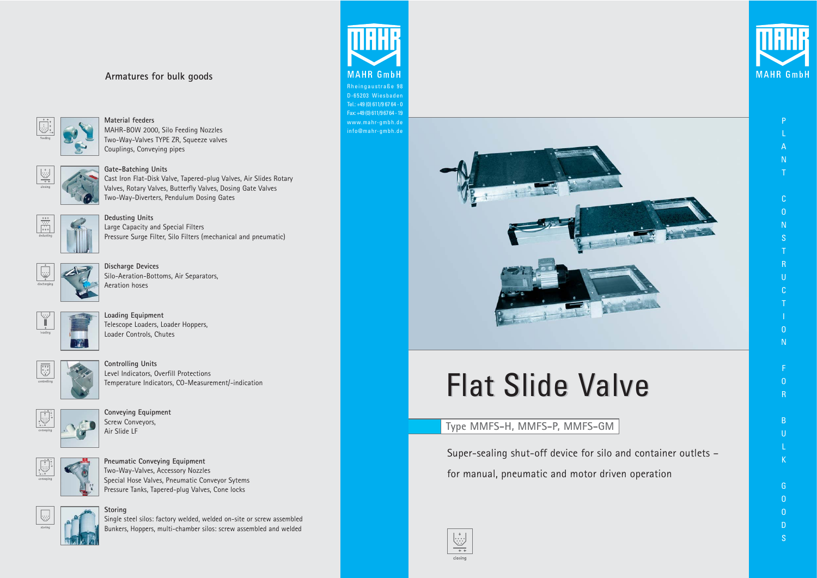Super-sealing shut-off device for silo and container outlets – for manual, pneumatic and motor driven operation





# **Type MMFS-H, MMFS-P, MMFS-GM**

# **Armatures for bulk goods**



**Material feeders**  MAHR-BOW 2000, Silo Feeding Nozzles Two-Way-Valves TYPE ZR, Squeeze valves Couplings, Conveying pipes



**Gate-Batching Units** Cast Iron Flat-Disk Valve, Tapered-plug Valves, Air Slides Rotary Valves, Rotary Valves, Butterfly Valves, Dosing Gate Valves Two-Way-Diverters, Pendulum Dosing Gates



**Dedusting Units** Large Capacity and Special Filters Pressure Surge Filter, Silo Filters (mechanical and pneumatic)



**Discharge Devices** Silo-Aeration-Bottoms, Air Separators, Aeration hoses

- $\Omega$ R
- B U
- L K
- G  $\Omega$  $\overline{0}$
- D S
- 



**Loading Equipment** Telescope Loaders, Loader Hoppers, Loader Controls, Chutes



**Controlling Units** Level Indicators, Overfill Protections Temperature Indicators, CO-Measurement/-indication



**Conveying Equipment** Screw Conveyors, Air Slide LF



**Pneumatic Conveying Equipment** Two-Way-Valves, Accessory Nozzles Special Hose Valves, Pneumatic Conveyor Sytems Pressure Tanks, Tapered-plug Valves, Cone locks



# **Storing**

Single steel silos: factory welded, welded on-site or screw assembled Bunkers, Hoppers, multi-chamber silos: screw assembled and welded



P

L A

- N T
- 
- $\Gamma$ O
- N S
- T R
- U
- C T
- I O
- F

N

Rheingaustraße 98 D-65203 Wiesbaden Tel.: +49 (0) 611/9 67 64 - 0 Fax: +49 (0) 611/9 67 64 - 19 www.mahr-gmbh.de info@mahr-gmbh.de



# **Flat Slide Valve**